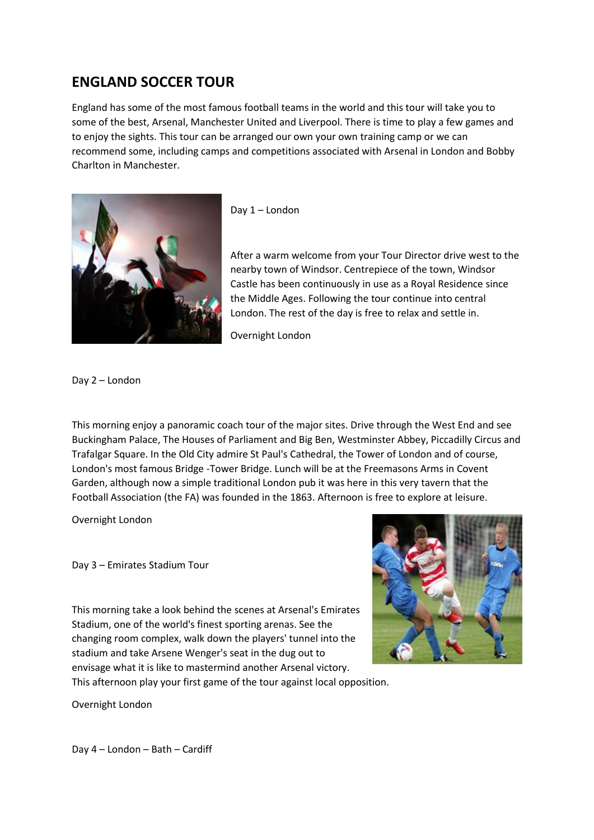## **ENGLAND SOCCER TOUR**

England has some of the most famous football teams in the world and this tour will take you to some of the best, Arsenal, Manchester United and Liverpool. There is time to play a few games and to enjoy the sights. This tour can be arranged our own your own training camp or we can recommend some, including camps and competitions associated with Arsenal in London and Bobby Charlton in Manchester.



Day 1 – London

After a warm welcome from your Tour Director drive west to the nearby town of Windsor. Centrepiece of the town, Windsor Castle has been continuously in use as a Royal Residence since the Middle Ages. Following the tour continue into central London. The rest of the day is free to relax and settle in.

Overnight London

Day 2 – London

This morning enjoy a panoramic coach tour of the major sites. Drive through the West End and see Buckingham Palace, The Houses of Parliament and Big Ben, Westminster Abbey, Piccadilly Circus and Trafalgar Square. In the Old City admire St Paul's Cathedral, the Tower of London and of course, London's most famous Bridge -Tower Bridge. Lunch will be at the Freemasons Arms in Covent Garden, although now a simple traditional London pub it was here in this very tavern that the Football Association (the FA) was founded in the 1863. Afternoon is free to explore at leisure.

Overnight London

Day 3 – Emirates Stadium Tour

This morning take a look behind the scenes at Arsenal's Emirates Stadium, one of the world's finest sporting arenas. See the changing room complex, walk down the players' tunnel into the stadium and take Arsene Wenger's seat in the dug out to envisage what it is like to mastermind another Arsenal victory.



This afternoon play your first game of the tour against local opposition.

Overnight London

Day 4 – London – Bath – Cardiff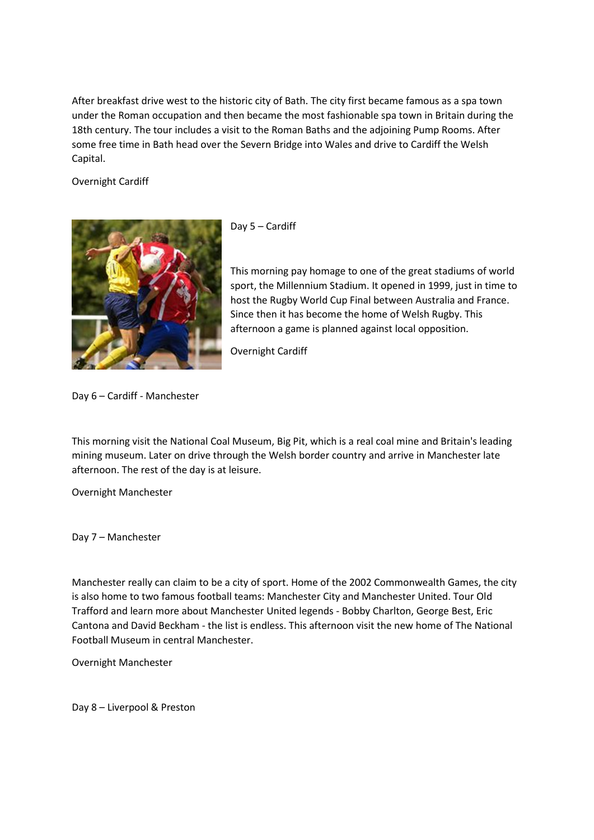After breakfast drive west to the historic city of Bath. The city first became famous as a spa town under the Roman occupation and then became the most fashionable spa town in Britain during the 18th century. The tour includes a visit to the Roman Baths and the adjoining Pump Rooms. After some free time in Bath head over the Severn Bridge into Wales and drive to Cardiff the Welsh Capital.

Overnight Cardiff



Day 5 – Cardiff

This morning pay homage to one of the great stadiums of world sport, the Millennium Stadium. It opened in 1999, just in time to host the Rugby World Cup Final between Australia and France. Since then it has become the home of Welsh Rugby. This afternoon a game is planned against local opposition.

Overnight Cardiff

Day 6 – Cardiff - Manchester

This morning visit the National Coal Museum, Big Pit, which is a real coal mine and Britain's leading mining museum. Later on drive through the Welsh border country and arrive in Manchester late afternoon. The rest of the day is at leisure.

Overnight Manchester

Day 7 – Manchester

Manchester really can claim to be a city of sport. Home of the 2002 Commonwealth Games, the city is also home to two famous football teams: Manchester City and Manchester United. Tour Old Trafford and learn more about Manchester United legends - Bobby Charlton, George Best, Eric Cantona and David Beckham - the list is endless. This afternoon visit the new home of The National Football Museum in central Manchester.

Overnight Manchester

Day 8 – Liverpool & Preston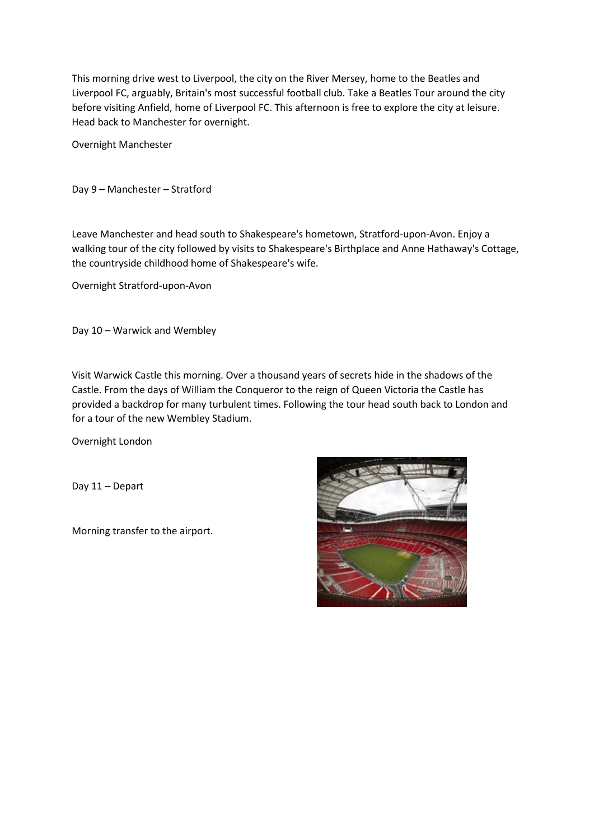This morning drive west to Liverpool, the city on the River Mersey, home to the Beatles and Liverpool FC, arguably, Britain's most successful football club. Take a Beatles Tour around the city before visiting Anfield, home of Liverpool FC. This afternoon is free to explore the city at leisure. Head back to Manchester for overnight.

Overnight Manchester

Day 9 – Manchester – Stratford

Leave Manchester and head south to Shakespeare's hometown, Stratford-upon-Avon. Enjoy a walking tour of the city followed by visits to Shakespeare's Birthplace and Anne Hathaway's Cottage, the countryside childhood home of Shakespeare's wife.

Overnight Stratford-upon-Avon

Day 10 – Warwick and Wembley

Visit Warwick Castle this morning. Over a thousand years of secrets hide in the shadows of the Castle. From the days of William the Conqueror to the reign of Queen Victoria the Castle has provided a backdrop for many turbulent times. Following the tour head south back to London and for a tour of the new Wembley Stadium.

Overnight London

Day 11 – Depart

Morning transfer to the airport.